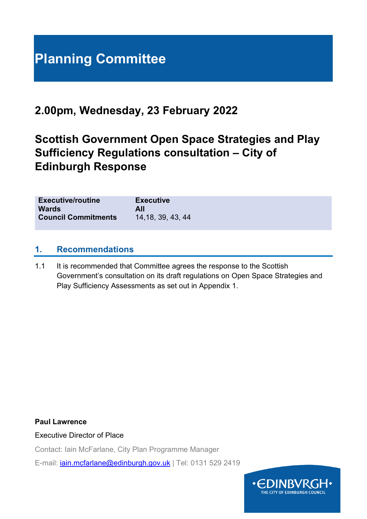# **Planning Committee**

# **2.00pm, Wednesday, 23 February 2022**

# **Scottish Government Open Space Strategies and Play Sufficiency Regulations consultation – City of Edinburgh Response**

| <b>Executive/routine</b>   | <b>Executive</b>   |
|----------------------------|--------------------|
| <b>Wards</b>               | All                |
| <b>Council Commitments</b> | 14, 18, 39, 43, 44 |
|                            |                    |

#### **1. Recommendations**

1.1 It is recommended that Committee agrees the response to the Scottish Government's consultation on its draft regulations on Open Space Strategies and Play Sufficiency Assessments as set out in Appendix 1.

#### **Paul Lawrence**

Executive Director of Place

Contact: Iain McFarlane, City Plan Programme Manager

E-mail: [iain.mcfarlane@edinburgh.gov.uk](mailto:iain.mcfarlane@edinburgh.gov.uk) | Tel: 0131 529 2419

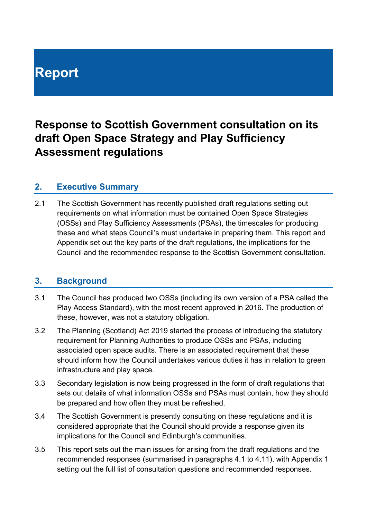# **Report**

# **Response to Scottish Government consultation on its draft Open Space Strategy and Play Sufficiency Assessment regulations**

# **2. Executive Summary**

2.1 The Scottish Government has recently published draft regulations setting out requirements on what information must be contained Open Space Strategies (OSSs) and Play Sufficiency Assessments (PSAs), the timescales for producing these and what steps Council's must undertake in preparing them. This report and Appendix set out the key parts of the draft regulations, the implications for the Council and the recommended response to the Scottish Government consultation.

# **3. Background**

- 3.1 The Council has produced two OSSs (including its own version of a PSA called the Play Access Standard), with the most recent approved in 2016. The production of these, however, was not a statutory obligation.
- 3.2 The Planning (Scotland) Act 2019 started the process of introducing the statutory requirement for Planning Authorities to produce OSSs and PSAs, including associated open space audits. There is an associated requirement that these should inform how the Council undertakes various duties it has in relation to green infrastructure and play space.
- 3.3 Secondary legislation is now being progressed in the form of draft regulations that sets out details of what information OSSs and PSAs must contain, how they should be prepared and how often they must be refreshed.
- 3.4 The Scottish Government is presently consulting on these regulations and it is considered appropriate that the Council should provide a response given its implications for the Council and Edinburgh's communities.
- 3.5 This report sets out the main issues for arising from the draft regulations and the recommended responses (summarised in paragraphs 4.1 to 4.11), with Appendix 1 setting out the full list of consultation questions and recommended responses.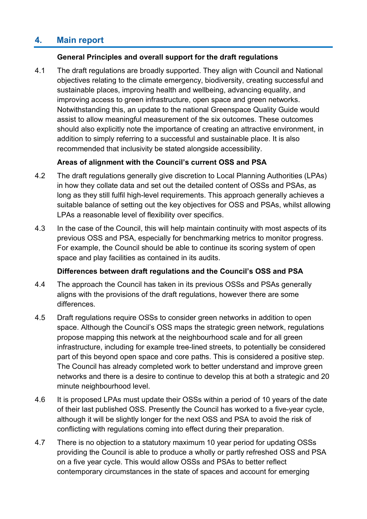# **4. Main report**

#### **General Principles and overall support for the draft regulations**

4.1 The draft regulations are broadly supported. They align with Council and National objectives relating to the climate emergency, biodiversity, creating successful and sustainable places, improving health and wellbeing, advancing equality, and improving access to green infrastructure, open space and green networks. Notwithstanding this, an update to the national Greenspace Quality Guide would assist to allow meaningful measurement of the six outcomes. These outcomes should also explicitly note the importance of creating an attractive environment, in addition to simply referring to a successful and sustainable place. It is also recommended that inclusivity be stated alongside accessibility.

#### **Areas of alignment with the Council's current OSS and PSA**

- 4.2 The draft regulations generally give discretion to Local Planning Authorities (LPAs) in how they collate data and set out the detailed content of OSSs and PSAs, as long as they still fulfil high-level requirements. This approach generally achieves a suitable balance of setting out the key objectives for OSS and PSAs, whilst allowing LPAs a reasonable level of flexibility over specifics.
- 4.3 In the case of the Council, this will help maintain continuity with most aspects of its previous OSS and PSA, especially for benchmarking metrics to monitor progress. For example, the Council should be able to continue its scoring system of open space and play facilities as contained in its audits.

#### **Differences between draft regulations and the Council's OSS and PSA**

- 4.4 The approach the Council has taken in its previous OSSs and PSAs generally aligns with the provisions of the draft regulations, however there are some differences.
- 4.5 Draft regulations require OSSs to consider green networks in addition to open space. Although the Council's OSS maps the strategic green network, regulations propose mapping this network at the neighbourhood scale and for all green infrastructure, including for example tree-lined streets, to potentially be considered part of this beyond open space and core paths. This is considered a positive step. The Council has already completed work to better understand and improve green networks and there is a desire to continue to develop this at both a strategic and 20 minute neighbourhood level.
- 4.6 It is proposed LPAs must update their OSSs within a period of 10 years of the date of their last published OSS. Presently the Council has worked to a five-year cycle, although it will be slightly longer for the next OSS and PSA to avoid the risk of conflicting with regulations coming into effect during their preparation.
- 4.7 There is no objection to a statutory maximum 10 year period for updating OSSs providing the Council is able to produce a wholly or partly refreshed OSS and PSA on a five year cycle. This would allow OSSs and PSAs to better reflect contemporary circumstances in the state of spaces and account for emerging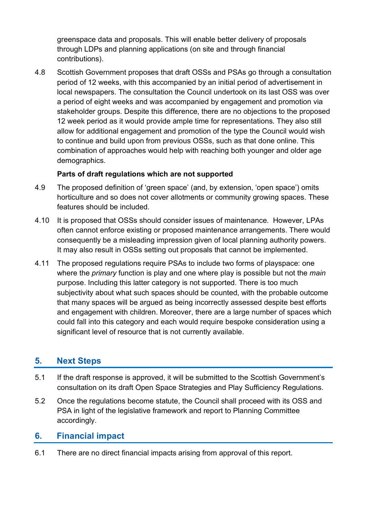greenspace data and proposals. This will enable better delivery of proposals through LDPs and planning applications (on site and through financial contributions).

4.8 Scottish Government proposes that draft OSSs and PSAs go through a consultation period of 12 weeks, with this accompanied by an initial period of advertisement in local newspapers. The consultation the Council undertook on its last OSS was over a period of eight weeks and was accompanied by engagement and promotion via stakeholder groups. Despite this difference, there are no objections to the proposed 12 week period as it would provide ample time for representations. They also still allow for additional engagement and promotion of the type the Council would wish to continue and build upon from previous OSSs, such as that done online. This combination of approaches would help with reaching both younger and older age demographics.

#### **Parts of draft regulations which are not supported**

- 4.9 The proposed definition of 'green space' (and, by extension, 'open space') omits horticulture and so does not cover allotments or community growing spaces. These features should be included.
- 4.10 It is proposed that OSSs should consider issues of maintenance. However, LPAs often cannot enforce existing or proposed maintenance arrangements. There would consequently be a misleading impression given of local planning authority powers. It may also result in OSSs setting out proposals that cannot be implemented.
- 4.11 The proposed regulations require PSAs to include two forms of playspace: one where the *primary* function is play and one where play is possible but not the *main* purpose. Including this latter category is not supported. There is too much subjectivity about what such spaces should be counted, with the probable outcome that many spaces will be argued as being incorrectly assessed despite best efforts and engagement with children. Moreover, there are a large number of spaces which could fall into this category and each would require bespoke consideration using a significant level of resource that is not currently available.

# **5. Next Steps**

- 5.1 If the draft response is approved, it will be submitted to the Scottish Government's consultation on its draft Open Space Strategies and Play Sufficiency Regulations.
- 5.2 Once the regulations become statute, the Council shall proceed with its OSS and PSA in light of the legislative framework and report to Planning Committee accordingly.

# **6. Financial impact**

6.1 There are no direct financial impacts arising from approval of this report.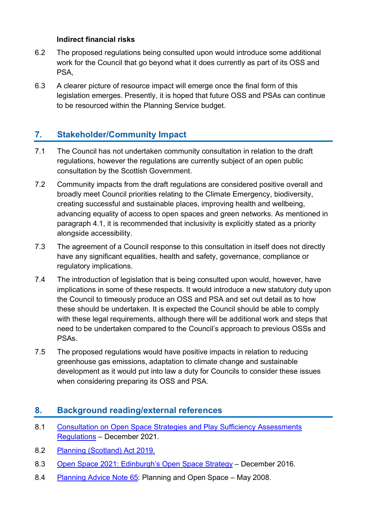#### **Indirect financial risks**

- 6.2 The proposed regulations being consulted upon would introduce some additional work for the Council that go beyond what it does currently as part of its OSS and PSA,
- 6.3 A clearer picture of resource impact will emerge once the final form of this legislation emerges. Presently, it is hoped that future OSS and PSAs can continue to be resourced within the Planning Service budget.

# **7. Stakeholder/Community Impact**

- 7.1 The Council has not undertaken community consultation in relation to the draft regulations, however the regulations are currently subject of an open public consultation by the Scottish Government.
- 7.2 Community impacts from the draft regulations are considered positive overall and broadly meet Council priorities relating to the Climate Emergency, biodiversity, creating successful and sustainable places, improving health and wellbeing, advancing equality of access to open spaces and green networks. As mentioned in paragraph 4.1, it is recommended that inclusivity is explicitly stated as a priority alongside accessibility.
- 7.3 The agreement of a Council response to this consultation in itself does not directly have any significant equalities, health and safety, governance, compliance or regulatory implications.
- 7.4 The introduction of legislation that is being consulted upon would, however, have implications in some of these respects. It would introduce a new statutory duty upon the Council to timeously produce an OSS and PSA and set out detail as to how these should be undertaken. It is expected the Council should be able to comply with these legal requirements, although there will be additional work and steps that need to be undertaken compared to the Council's approach to previous OSSs and PSAs.
- 7.5 The proposed regulations would have positive impacts in relation to reducing greenhouse gas emissions, adaptation to climate change and sustainable development as it would put into law a duty for Councils to consider these issues when considering preparing its OSS and PSA.

# **8. Background reading/external references**

- 8.1 [Consultation on Open Space Strategies and Play Sufficiency Assessments](https://consult.gov.scot/planning-architecture/os-strategies-ps-assessments/)  [Regulations](https://consult.gov.scot/planning-architecture/os-strategies-ps-assessments/) – December 2021.
- 8.2 [Planning \(Scotland\) Act 2019.](https://www.legislation.gov.uk/asp/2019/13/contents)
- 8.3 [Open Space 2021: Edinburgh's Open Space Strategy](https://www.edinburgh.gov.uk/downloads/download/12910/open-space-strategy-and-audit) December 2016.
- 8.4 [Planning Advice Note 65:](https://www.gov.scot/publications/planning-advice-note-pan-65-planning-open-space/) Planning and Open Space May 2008.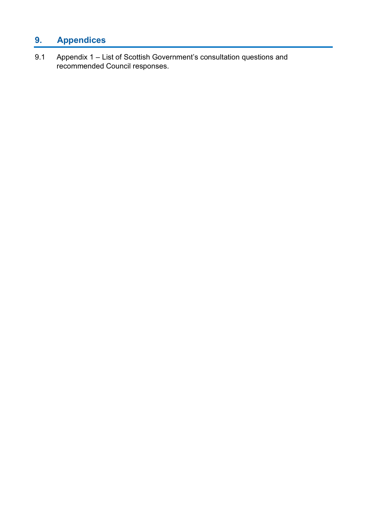# **9. Appendices**

9.1 Appendix 1 – List of Scottish Government's consultation questions and recommended Council responses.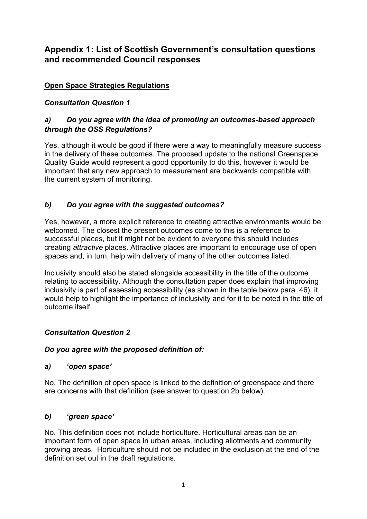# **Appendix 1: List of Scottish Government's consultation questions and recommended Council responses**

#### **Open Space Strategies Regulations**

#### *Consultation Question 1*

#### *a) Do you agree with the idea of promoting an outcomes-based approach through the OSS Regulations?*

Yes, although it would be good if there were a way to meaningfully measure success in the delivery of these outcomes. The proposed update to the national Greenspace Quality Guide would represent a good opportunity to do this, however it would be important that any new approach to measurement are backwards compatible with the current system of monitoring.

#### *b) Do you agree with the suggested outcomes?*

Yes, however, a more explicit reference to creating attractive environments would be welcomed. The closest the present outcomes come to this is a reference to successful places, but it might not be evident to everyone this should includes creating *attractive* places. Attractive places are important to encourage use of open spaces and, in turn, help with delivery of many of the other outcomes listed.

Inclusivity should also be stated alongside accessibility in the title of the outcome relating to accessibility. Although the consultation paper does explain that improving inclusivity is part of assessing accessibility (as shown in the table below para. 46), it would help to highlight the importance of inclusivity and for it to be noted in the title of outcome itself.

#### *Consultation Question 2*

#### *Do you agree with the proposed definition of:*

#### *a) 'open space'*

No. The definition of open space is linked to the definition of greenspace and there are concerns with that definition (see answer to question 2b below).

#### *b) 'green space'*

No. This definition does not include horticulture. Horticultural areas can be an important form of open space in urban areas, including allotments and community growing areas. Horticulture should not be included in the exclusion at the end of the definition set out in the draft regulations.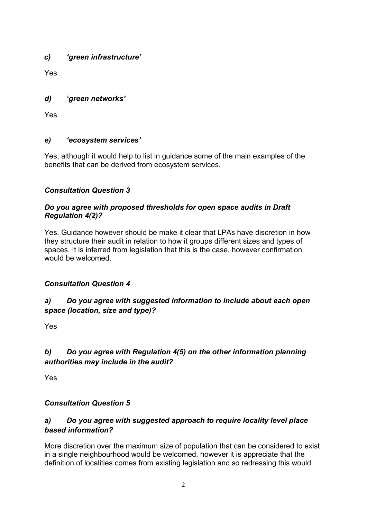#### *c) 'green infrastructure'*

Yes

#### *d) 'green networks'*

Yes

#### *e) 'ecosystem services'*

Yes, although it would help to list in guidance some of the main examples of the benefits that can be derived from ecosystem services.

#### *Consultation Question 3*

#### *Do you agree with proposed thresholds for open space audits in Draft Regulation 4(2)?*

Yes. Guidance however should be make it clear that LPAs have discretion in how they structure their audit in relation to how it groups different sizes and types of spaces. It is inferred from legislation that this is the case, however confirmation would be welcomed.

# *Consultation Question 4*

# *a) Do you agree with suggested information to include about each open space (location, size and type)?*

Yes

# *b) Do you agree with Regulation 4(5) on the other information planning authorities may include in the audit?*

Yes

#### *Consultation Question 5*

#### *a) Do you agree with suggested approach to require locality level place based information?*

More discretion over the maximum size of population that can be considered to exist in a single neighbourhood would be welcomed, however it is appreciate that the definition of localities comes from existing legislation and so redressing this would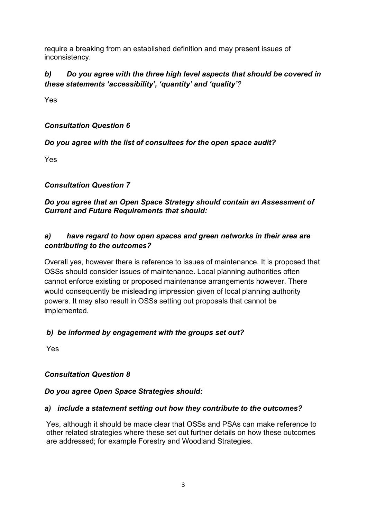require a breaking from an established definition and may present issues of inconsistency.

# *b) Do you agree with the three high level aspects that should be covered in these statements 'accessibility', 'quantity' and 'quality'?*

Yes

#### *Consultation Question 6*

#### *Do you agree with the list of consultees for the open space audit?*

Yes

#### *Consultation Question 7*

#### *Do you agree that an Open Space Strategy should contain an Assessment of Current and Future Requirements that should:*

#### *a) have regard to how open spaces and green networks in their area are contributing to the outcomes?*

Overall yes, however there is reference to issues of maintenance. It is proposed that OSSs should consider issues of maintenance. Local planning authorities often cannot enforce existing or proposed maintenance arrangements however. There would consequently be misleading impression given of local planning authority powers. It may also result in OSSs setting out proposals that cannot be implemented.

#### *b) be informed by engagement with the groups set out?*

Yes

# *Consultation Question 8*

#### *Do you agree Open Space Strategies should:*

#### *a) include a statement setting out how they contribute to the outcomes?*

Yes, although it should be made clear that OSSs and PSAs can make reference to other related strategies where these set out further details on how these outcomes are addressed; for example Forestry and Woodland Strategies.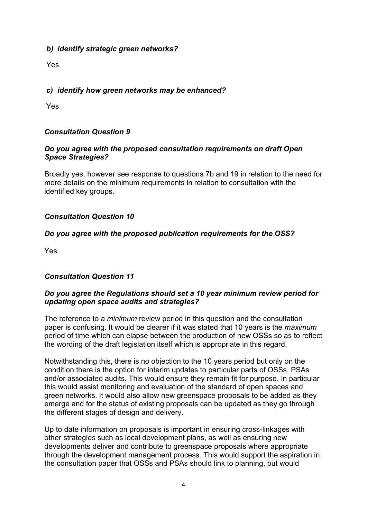#### *b) identify strategic green networks?*

Yes

#### *c) identify how green networks may be enhanced?*

Yes

#### *Consultation Question 9*

#### *Do you agree with the proposed consultation requirements on draft Open Space Strategies?*

Broadly yes, however see response to questions 7b and 19 in relation to the need for more details on the minimum requirements in relation to consultation with the identified key groups.

#### *Consultation Question 10*

#### *Do you agree with the proposed publication requirements for the OSS?*

Yes

#### *Consultation Question 11*

#### *Do you agree the Regulations should set a 10 year minimum review period for updating open space audits and strategies?*

The reference to a *minimum* review period in this question and the consultation paper is confusing. It would be clearer if it was stated that 10 years is the *maximum* period of time which can elapse between the production of new OSSs so as to reflect the wording of the draft legislation itself which is appropriate in this regard.

Notwithstanding this, there is no objection to the 10 years period but only on the condition there is the option for interim updates to particular parts of OSSs, PSAs and/or associated audits. This would ensure they remain fit for purpose. In particular this would assist monitoring and evaluation of the standard of open spaces and green networks. It would also allow new greenspace proposals to be added as they emerge and for the status of existing proposals can be updated as they go through the different stages of design and delivery.

Up to date information on proposals is important in ensuring cross-linkages with other strategies such as local development plans, as well as ensuring new developments deliver and contribute to greenspace proposals where appropriate through the development management process. This would support the aspiration in the consultation paper that OSSs and PSAs should link to planning, but would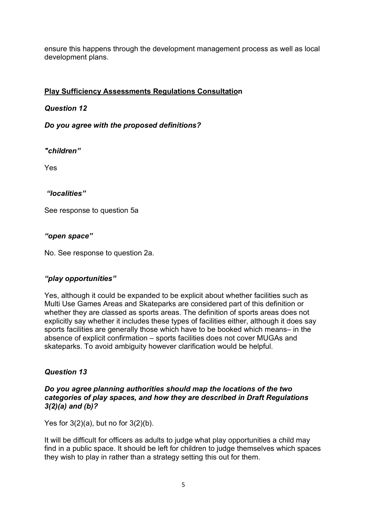ensure this happens through the development management process as well as local development plans.

#### **Play Sufficiency Assessments Regulations Consultation**

#### *Question 12*

*Do you agree with the proposed definitions?*

*"children"* 

Yes

#### *"localities"*

See response to question 5a

#### *"open space"*

No. See response to question 2a.

#### *"play opportunities"*

Yes, although it could be expanded to be explicit about whether facilities such as Multi Use Games Areas and Skateparks are considered part of this definition or whether they are classed as sports areas. The definition of sports areas does not explicitly say whether it includes these types of facilities either, although it does say sports facilities are generally those which have to be booked which means– in the absence of explicit confirmation – sports facilities does not cover MUGAs and skateparks. To avoid ambiguity however clarification would be helpful.

#### *Question 13*

#### *Do you agree planning authorities should map the locations of the two categories of play spaces, and how they are described in Draft Regulations 3(2)(a) and (b)?*

Yes for  $3(2)(a)$ , but no for  $3(2)(b)$ .

It will be difficult for officers as adults to judge what play opportunities a child may find in a public space. It should be left for children to judge themselves which spaces they wish to play in rather than a strategy setting this out for them.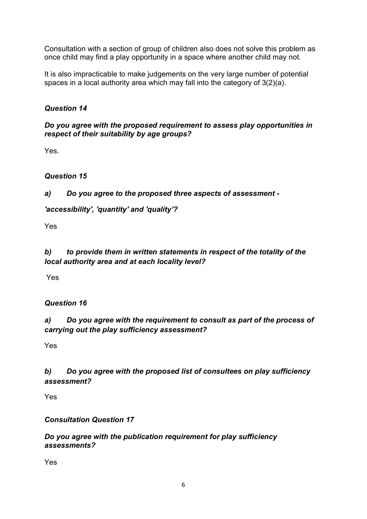Consultation with a section of group of children also does not solve this problem as once child may find a play opportunity in a space where another child may not.

It is also impracticable to make judgements on the very large number of potential spaces in a local authority area which may fall into the category of 3(2)(a).

# *Question 14*

#### *Do you agree with the proposed requirement to assess play opportunities in respect of their suitability by age groups?*

Yes.

# *Question 15*

# *a) Do you agree to the proposed three aspects of assessment -*

# *'accessibility', 'quantity' and 'quality'?*

Yes

#### *b) to provide them in written statements in respect of the totality of the local authority area and at each locality level?*

Yes

# *Question 16*

# *a) Do you agree with the requirement to consult as part of the process of carrying out the play sufficiency assessment?*

Yes

# *b) Do you agree with the proposed list of consultees on play sufficiency assessment?*

Yes

# *Consultation Question 17*

#### *Do you agree with the publication requirement for play sufficiency assessments?*

Yes